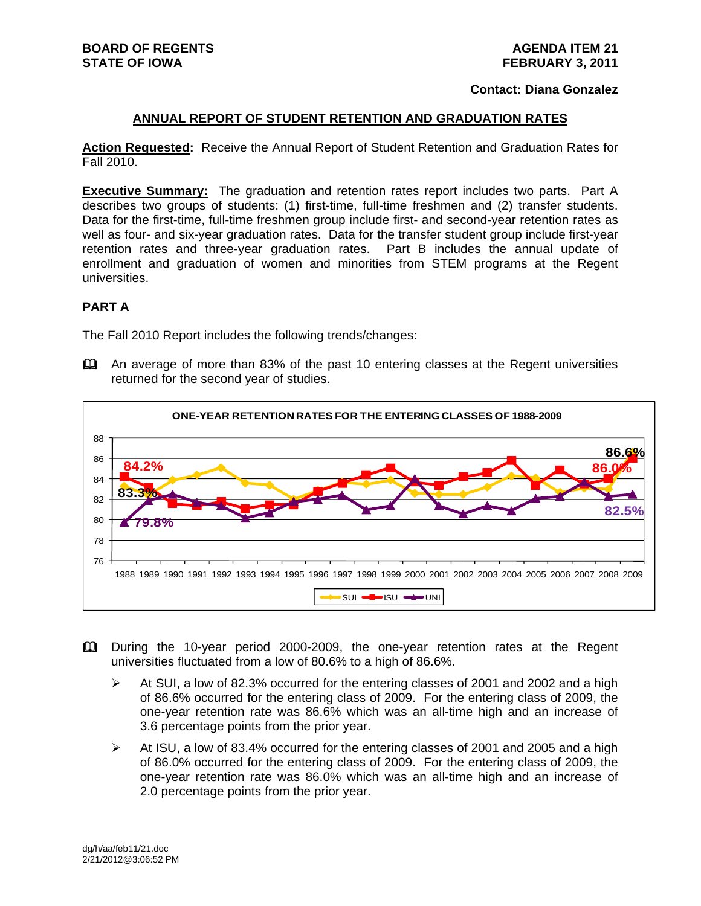#### **Contact: Diana Gonzalez**

#### **ANNUAL REPORT OF STUDENT RETENTION AND GRADUATION RATES**

**Action Requested:** Receive the Annual Report of Student Retention and Graduation Rates for Fall 2010.

**Executive Summary:** The graduation and retention rates report includes two parts. Part A describes two groups of students: (1) first-time, full-time freshmen and (2) transfer students. Data for the first-time, full-time freshmen group include first- and second-year retention rates as well as four- and six-year graduation rates. Data for the transfer student group include first-year retention rates and three-year graduation rates. Part B includes the annual update of enrollment and graduation of women and minorities from STEM programs at the Regent universities.

#### **PART A**

The Fall 2010 Report includes the following trends/changes:

 An average of more than 83% of the past 10 entering classes at the Regent universities returned for the second year of studies.



- During the 10-year period 2000-2009, the one-year retention rates at the Regent universities fluctuated from a low of 80.6% to a high of 86.6%.
	- $\triangleright$  At SUI, a low of 82.3% occurred for the entering classes of 2001 and 2002 and a high of 86.6% occurred for the entering class of 2009. For the entering class of 2009, the one-year retention rate was 86.6% which was an all-time high and an increase of 3.6 percentage points from the prior year.
	- $\triangleright$  At ISU, a low of 83.4% occurred for the entering classes of 2001 and 2005 and a high of 86.0% occurred for the entering class of 2009. For the entering class of 2009, the one-year retention rate was 86.0% which was an all-time high and an increase of 2.0 percentage points from the prior year.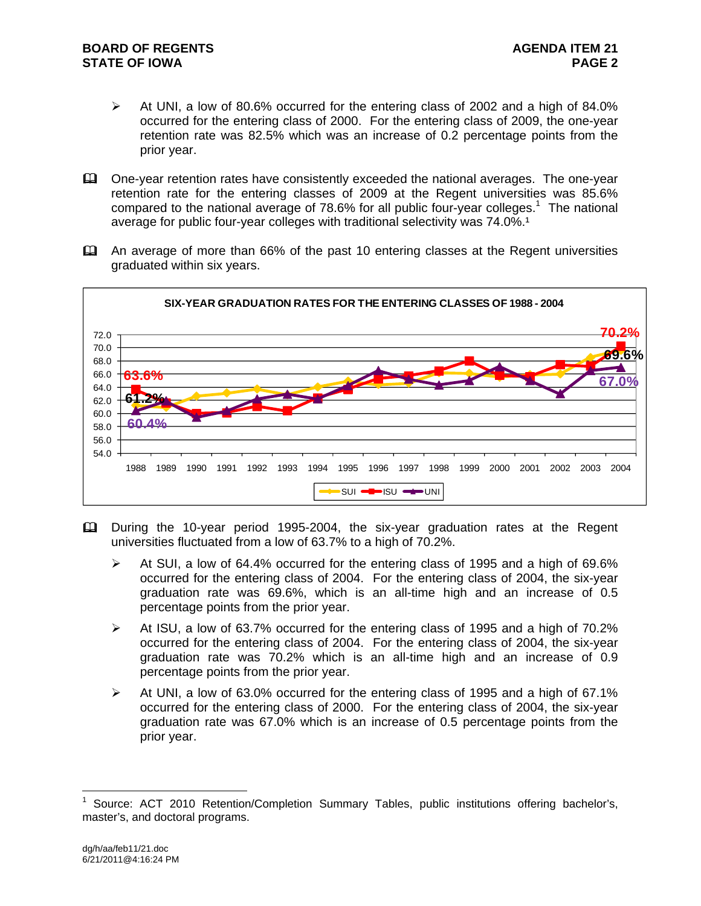- At UNI, a low of 80.6% occurred for the entering class of 2002 and a high of 84.0% occurred for the entering class of 2000. For the entering class of 2009, the one-year retention rate was 82.5% which was an increase of 0.2 percentage points from the prior year.
- One-year retention rates have consistently exceeded the national averages. The one-year retention rate for the entering classes of 2009 at the Regent universities was 85.6% compared to the national average of 78.6% for all public four-year colleges.<sup>1</sup> The national average for public four-year colleges with traditional selectivity was 74.0%.<sup>1</sup>
- An average of more than 66% of the past 10 entering classes at the Regent universities graduated within six years.



- During the 10-year period 1995-2004, the six-year graduation rates at the Regent universities fluctuated from a low of 63.7% to a high of 70.2%.
	- $\triangleright$  At SUI, a low of 64.4% occurred for the entering class of 1995 and a high of 69.6% occurred for the entering class of 2004. For the entering class of 2004, the six-year graduation rate was 69.6%, which is an all-time high and an increase of 0.5 percentage points from the prior year.
	- $\triangleright$  At ISU, a low of 63.7% occurred for the entering class of 1995 and a high of 70.2% occurred for the entering class of 2004. For the entering class of 2004, the six-year graduation rate was 70.2% which is an all-time high and an increase of 0.9 percentage points from the prior year.
	- $\triangleright$  At UNI, a low of 63.0% occurred for the entering class of 1995 and a high of 67.1% occurred for the entering class of 2000. For the entering class of 2004, the six-year graduation rate was 67.0% which is an increase of 0.5 percentage points from the prior year.

 $\overline{a}$ 

<sup>1</sup> Source: ACT 2010 Retention/Completion Summary Tables, public institutions offering bachelor's, master's, and doctoral programs.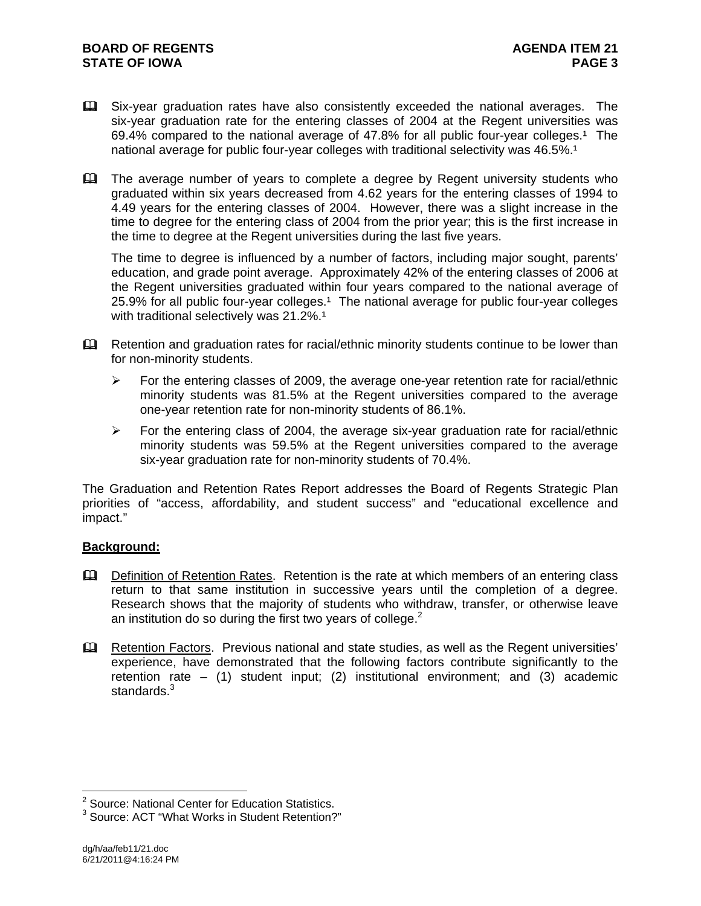- Six-year graduation rates have also consistently exceeded the national averages. The six-year graduation rate for the entering classes of 2004 at the Regent universities was 69.4% compared to the national average of 47.8% for all public four-year colleges.<sup>1</sup> The national average for public four-year colleges with traditional selectivity was 46.5%.<sup>1</sup>
- The average number of years to complete a degree by Regent university students who graduated within six years decreased from 4.62 years for the entering classes of 1994 to 4.49 years for the entering classes of 2004. However, there was a slight increase in the time to degree for the entering class of 2004 from the prior year; this is the first increase in the time to degree at the Regent universities during the last five years.

The time to degree is influenced by a number of factors, including major sought, parents' education, and grade point average. Approximately 42% of the entering classes of 2006 at the Regent universities graduated within four years compared to the national average of 25.9% for all public four-year colleges.<sup>1</sup> The national average for public four-year colleges with traditional selectively was  $21.2\%$ .<sup>1</sup>

- **Example 20** Retention and graduation rates for racial/ethnic minority students continue to be lower than for non-minority students.
	- $\triangleright$  For the entering classes of 2009, the average one-year retention rate for racial/ethnic minority students was 81.5% at the Regent universities compared to the average one-year retention rate for non-minority students of 86.1%.
	- $\triangleright$  For the entering class of 2004, the average six-year graduation rate for racial/ethnic minority students was 59.5% at the Regent universities compared to the average six-year graduation rate for non-minority students of 70.4%.

The Graduation and Retention Rates Report addresses the Board of Regents Strategic Plan priorities of "access, affordability, and student success" and "educational excellence and impact."

# **Background:**

- **Q.** Definition of Retention Rates. Retention is the rate at which members of an entering class return to that same institution in successive years until the completion of a degree. Research shows that the majority of students who withdraw, transfer, or otherwise leave an institution do so during the first two years of college.<sup>2</sup>
- Eu Retention Factors. Previous national and state studies, as well as the Regent universities' experience, have demonstrated that the following factors contribute significantly to the retention rate – (1) student input; (2) institutional environment; and (3) academic standards.<sup>3</sup>

<sup>&</sup>lt;u>nessen metal</u><br><sup>2</sup> Source: National Center for Education Statistics.

<sup>&</sup>lt;sup>3</sup> Source: ACT "What Works in Student Retention?"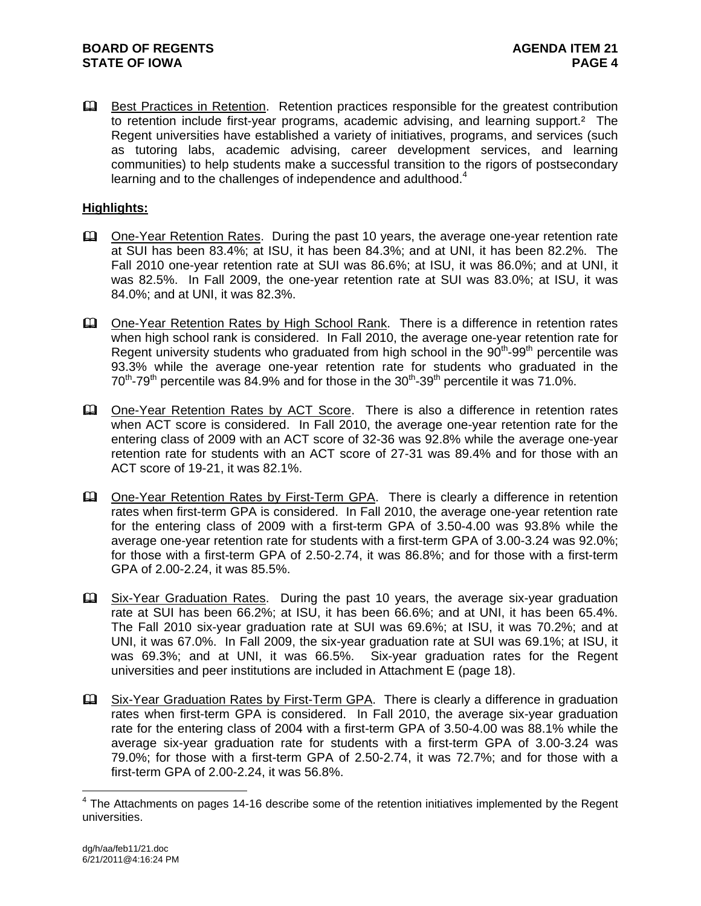**Example 3** Best Practices in Retention. Retention practices responsible for the greatest contribution to retention include first-year programs, academic advising, and learning support.<sup>2</sup> The Regent universities have established a variety of initiatives, programs, and services (such as tutoring labs, academic advising, career development services, and learning communities) to help students make a successful transition to the rigors of postsecondary learning and to the challenges of independence and adulthood. $4$ 

# **Highlights:**

- One-Year Retention Rates. During the past 10 years, the average one-year retention rate at SUI has been 83.4%; at ISU, it has been 84.3%; and at UNI, it has been 82.2%. The Fall 2010 one-year retention rate at SUI was 86.6%; at ISU, it was 86.0%; and at UNI, it was 82.5%. In Fall 2009, the one-year retention rate at SUI was 83.0%; at ISU, it was 84.0%; and at UNI, it was 82.3%.
- One-Year Retention Rates by High School Rank. There is a difference in retention rates when high school rank is considered. In Fall 2010, the average one-year retention rate for Regent university students who graduated from high school in the  $90<sup>th</sup>$ -99<sup>th</sup> percentile was 93.3% while the average one-year retention rate for students who graduated in the  $70^{th}$ -79<sup>th</sup> percentile was 84.9% and for those in the  $30^{th}$ -39<sup>th</sup> percentile it was 71.0%.
- **Ell** One-Year Retention Rates by ACT Score. There is also a difference in retention rates when ACT score is considered. In Fall 2010, the average one-year retention rate for the entering class of 2009 with an ACT score of 32-36 was 92.8% while the average one-year retention rate for students with an ACT score of 27-31 was 89.4% and for those with an ACT score of 19-21, it was 82.1%.
- Che-Year Retention Rates by First-Term GPA. There is clearly a difference in retention rates when first-term GPA is considered. In Fall 2010, the average one-year retention rate for the entering class of 2009 with a first-term GPA of 3.50-4.00 was 93.8% while the average one-year retention rate for students with a first-term GPA of 3.00-3.24 was 92.0%; for those with a first-term GPA of 2.50-2.74, it was 86.8%; and for those with a first-term GPA of 2.00-2.24, it was 85.5%.
- Six-Year Graduation Rates. During the past 10 years, the average six-year graduation rate at SUI has been 66.2%; at ISU, it has been 66.6%; and at UNI, it has been 65.4%. The Fall 2010 six-year graduation rate at SUI was 69.6%; at ISU, it was 70.2%; and at UNI, it was 67.0%. In Fall 2009, the six-year graduation rate at SUI was 69.1%; at ISU, it was 69.3%; and at UNI, it was 66.5%. Six-year graduation rates for the Regent universities and peer institutions are included in Attachment E (page 18).
- Six-Year Graduation Rates by First-Term GPA. There is clearly a difference in graduation rates when first-term GPA is considered. In Fall 2010, the average six-year graduation rate for the entering class of 2004 with a first-term GPA of 3.50-4.00 was 88.1% while the average six-year graduation rate for students with a first-term GPA of 3.00-3.24 was 79.0%; for those with a first-term GPA of 2.50-2.74, it was 72.7%; and for those with a first-term GPA of 2.00-2.24, it was 56.8%.

 4 The Attachments on pages 14-16 describe some of the retention initiatives implemented by the Regent universities.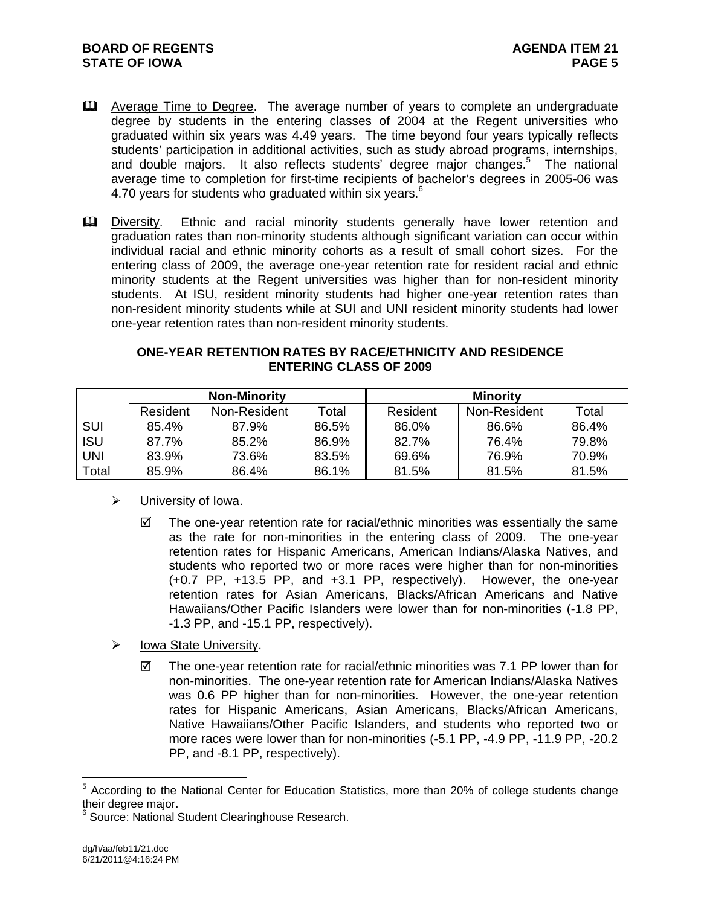- **Example 2** Average Time to Degree. The average number of years to complete an undergraduate degree by students in the entering classes of 2004 at the Regent universities who graduated within six years was 4.49 years. The time beyond four years typically reflects students' participation in additional activities, such as study abroad programs, internships, and double majors. It also reflects students' degree major changes.<sup>5</sup> The national average time to completion for first-time recipients of bachelor's degrees in 2005-06 was 4.70 years for students who graduated within six years.<sup>6</sup>
- Diversity. Ethnic and racial minority students generally have lower retention and graduation rates than non-minority students although significant variation can occur within individual racial and ethnic minority cohorts as a result of small cohort sizes. For the entering class of 2009, the average one-year retention rate for resident racial and ethnic minority students at the Regent universities was higher than for non-resident minority students. At ISU, resident minority students had higher one-year retention rates than non-resident minority students while at SUI and UNI resident minority students had lower one-year retention rates than non-resident minority students.

#### **ONE-YEAR RETENTION RATES BY RACE/ETHNICITY AND RESIDENCE ENTERING CLASS OF 2009**

|            | <b>Non-Minority</b> |              |       | <b>Minority</b> |              |       |  |
|------------|---------------------|--------------|-------|-----------------|--------------|-------|--|
|            | Resident            | Non-Resident | Total | Resident        | Non-Resident | Total |  |
| <b>SUI</b> | 85.4%               | 87.9%        | 86.5% | 86.0%           | 86.6%        | 86.4% |  |
| <b>ISU</b> | 87.7%               | 85.2%        | 86.9% | 82.7%           | 76.4%        | 79.8% |  |
| UNI        | 83.9%               | 73.6%        | 83.5% | 69.6%           | 76.9%        | 70.9% |  |
| Total      | 85.9%               | 86.4%        | 86.1% | 81.5%           | 81.5%        | 81.5% |  |

# $\triangleright$  University of Iowa.

- $\boxtimes$  The one-year retention rate for racial/ethnic minorities was essentially the same as the rate for non-minorities in the entering class of 2009. The one-year retention rates for Hispanic Americans, American Indians/Alaska Natives, and students who reported two or more races were higher than for non-minorities (+0.7 PP, +13.5 PP, and +3.1 PP, respectively). However, the one-year retention rates for Asian Americans, Blacks/African Americans and Native Hawaiians/Other Pacific Islanders were lower than for non-minorities (-1.8 PP, -1.3 PP, and -15.1 PP, respectively).
- $\triangleright$  Iowa State University.
	- $\boxtimes$  The one-year retention rate for racial/ethnic minorities was 7.1 PP lower than for non-minorities. The one-year retention rate for American Indians/Alaska Natives was 0.6 PP higher than for non-minorities. However, the one-year retention rates for Hispanic Americans, Asian Americans, Blacks/African Americans, Native Hawaiians/Other Pacific Islanders, and students who reported two or more races were lower than for non-minorities (-5.1 PP, -4.9 PP, -11.9 PP, -20.2 PP, and -8.1 PP, respectively).

 $\overline{a}$ 

<sup>&</sup>lt;sup>5</sup> According to the National Center for Education Statistics, more than 20% of college students change their degree major.<br><sup>6</sup> Seures: National S

Source: National Student Clearinghouse Research.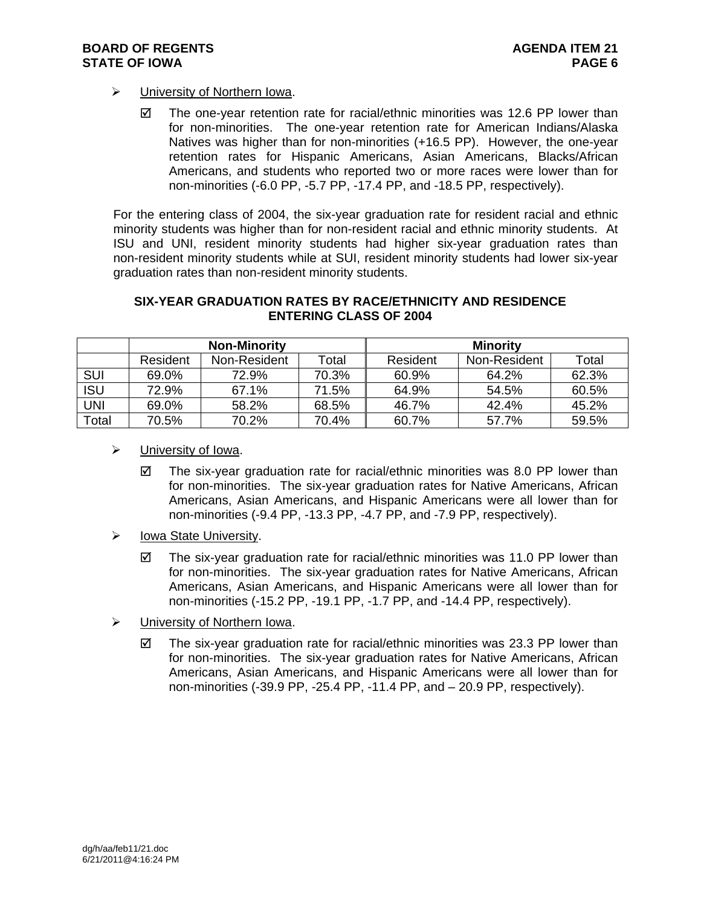- University of Northern Iowa.
	- $\boxtimes$  The one-year retention rate for racial/ethnic minorities was 12.6 PP lower than for non-minorities. The one-year retention rate for American Indians/Alaska Natives was higher than for non-minorities (+16.5 PP). However, the one-year retention rates for Hispanic Americans, Asian Americans, Blacks/African Americans, and students who reported two or more races were lower than for non-minorities (-6.0 PP, -5.7 PP, -17.4 PP, and -18.5 PP, respectively).

For the entering class of 2004, the six-year graduation rate for resident racial and ethnic minority students was higher than for non-resident racial and ethnic minority students. At ISU and UNI, resident minority students had higher six-year graduation rates than non-resident minority students while at SUI, resident minority students had lower six-year graduation rates than non-resident minority students.

#### **SIX-YEAR GRADUATION RATES BY RACE/ETHNICITY AND RESIDENCE ENTERING CLASS OF 2004**

|            | <b>Non-Minority</b> |              |       | Minority |              |       |  |
|------------|---------------------|--------------|-------|----------|--------------|-------|--|
|            | Resident            | Non-Resident | Total | Resident | Non-Resident | Total |  |
| <b>SUI</b> | 69.0%               | 72.9%        | 70.3% | 60.9%    | 64.2%        | 62.3% |  |
| <b>ISU</b> | 72.9%               | 67.1%        | 71.5% | 64.9%    | 54.5%        | 60.5% |  |
| UNI        | 69.0%               | 58.2%        | 68.5% | 46.7%    | 42.4%        | 45.2% |  |
| Total      | 70.5%               | 70.2%        | 70.4% | 60.7%    | 57.7%        | 59.5% |  |

- $\triangleright$  University of Iowa.
	- $\boxtimes$  The six-year graduation rate for racial/ethnic minorities was 8.0 PP lower than for non-minorities. The six-year graduation rates for Native Americans, African Americans, Asian Americans, and Hispanic Americans were all lower than for non-minorities (-9.4 PP, -13.3 PP, -4.7 PP, and -7.9 PP, respectively).
- $\triangleright$  Iowa State University.
	- $\boxtimes$  The six-year graduation rate for racial/ethnic minorities was 11.0 PP lower than for non-minorities. The six-year graduation rates for Native Americans, African Americans, Asian Americans, and Hispanic Americans were all lower than for non-minorities (-15.2 PP, -19.1 PP, -1.7 PP, and -14.4 PP, respectively).
- > University of Northern Iowa.
	- $\boxtimes$  The six-year graduation rate for racial/ethnic minorities was 23.3 PP lower than for non-minorities. The six-year graduation rates for Native Americans, African Americans, Asian Americans, and Hispanic Americans were all lower than for non-minorities (-39.9 PP, -25.4 PP, -11.4 PP, and – 20.9 PP, respectively).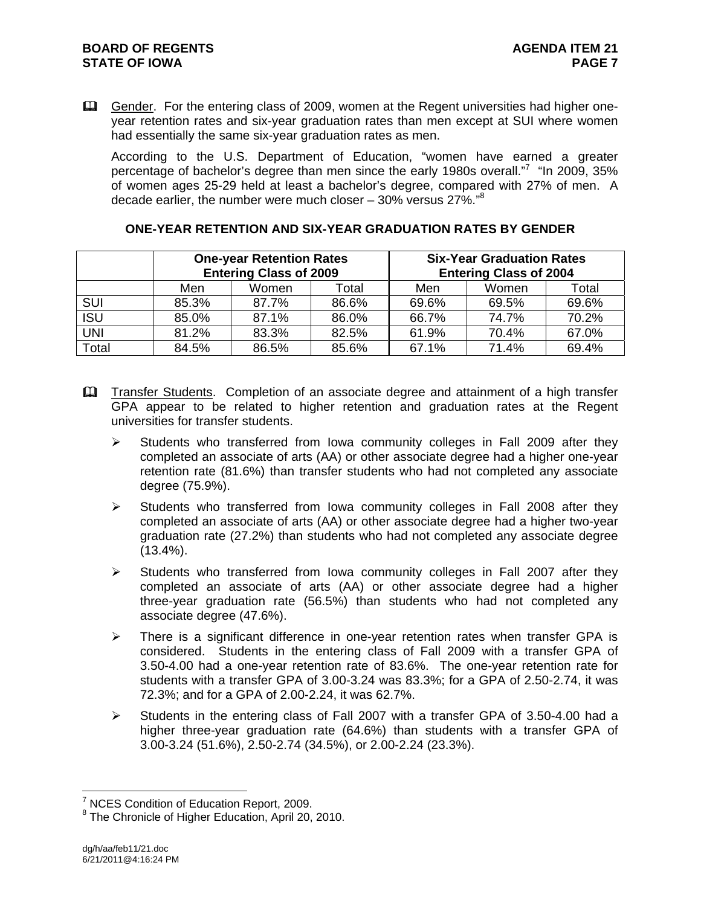Gender. For the entering class of 2009, women at the Regent universities had higher oneyear retention rates and six-year graduation rates than men except at SUI where women had essentially the same six-year graduation rates as men.

According to the U.S. Department of Education, "women have earned a greater percentage of bachelor's degree than men since the early 1980s overall."<sup>7</sup> "In 2009, 35% of women ages 25-29 held at least a bachelor's degree, compared with 27% of men. A decade earlier, the number were much closer – 30% versus 27%."<sup>8</sup>

|            | <b>One-year Retention Rates</b><br><b>Entering Class of 2009</b> |       |       | <b>Six-Year Graduation Rates</b><br><b>Entering Class of 2004</b> |       |       |  |
|------------|------------------------------------------------------------------|-------|-------|-------------------------------------------------------------------|-------|-------|--|
|            | Men                                                              | Women | Total | Men                                                               | Women | Total |  |
| <b>SUI</b> | 85.3%                                                            | 87.7% | 86.6% | 69.6%                                                             | 69.5% | 69.6% |  |
| <b>ISU</b> | 85.0%                                                            | 87.1% | 86.0% | 66.7%                                                             | 74.7% | 70.2% |  |
| <b>UNI</b> | 81.2%                                                            | 83.3% | 82.5% | 61.9%                                                             | 70.4% | 67.0% |  |
| Total      | 84.5%                                                            | 86.5% | 85.6% | 67.1%                                                             | 71.4% | 69.4% |  |

# **ONE-YEAR RETENTION AND SIX-YEAR GRADUATION RATES BY GENDER**

- **Example 1** Transfer Students. Completion of an associate degree and attainment of a high transfer GPA appear to be related to higher retention and graduation rates at the Regent universities for transfer students.
	- $\triangleright$  Students who transferred from Iowa community colleges in Fall 2009 after they completed an associate of arts (AA) or other associate degree had a higher one-year retention rate (81.6%) than transfer students who had not completed any associate degree (75.9%).
	- $\triangleright$  Students who transferred from Iowa community colleges in Fall 2008 after they completed an associate of arts (AA) or other associate degree had a higher two-year graduation rate (27.2%) than students who had not completed any associate degree  $(13.4\%)$ .
	- $\triangleright$  Students who transferred from Iowa community colleges in Fall 2007 after they completed an associate of arts (AA) or other associate degree had a higher three-year graduation rate (56.5%) than students who had not completed any associate degree (47.6%).
	- $\triangleright$  There is a significant difference in one-year retention rates when transfer GPA is considered. Students in the entering class of Fall 2009 with a transfer GPA of 3.50-4.00 had a one-year retention rate of 83.6%. The one-year retention rate for students with a transfer GPA of 3.00-3.24 was 83.3%; for a GPA of 2.50-2.74, it was 72.3%; and for a GPA of 2.00-2.24, it was 62.7%.
	- $\triangleright$  Students in the entering class of Fall 2007 with a transfer GPA of 3.50-4.00 had a higher three-year graduation rate (64.6%) than students with a transfer GPA of 3.00-3.24 (51.6%), 2.50-2.74 (34.5%), or 2.00-2.24 (23.3%).

 $\overline{a}$ 

<sup>&</sup>lt;sup>7</sup> NCES Condition of Education Report, 2009.

<sup>&</sup>lt;sup>8</sup> The Chronicle of Higher Education, April 20, 2010.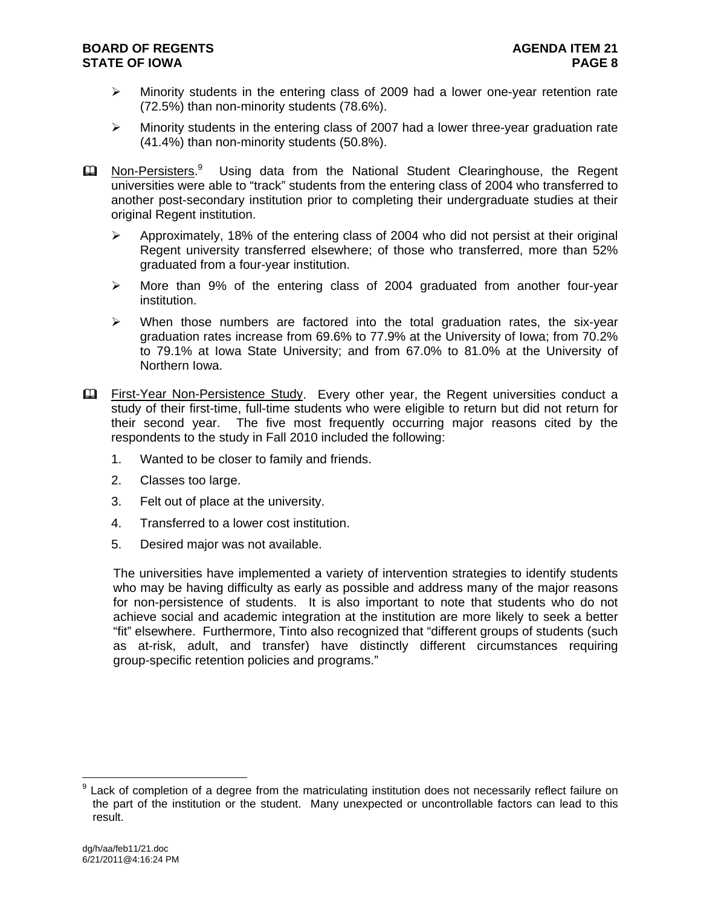- $\triangleright$  Minority students in the entering class of 2009 had a lower one-year retention rate (72.5%) than non-minority students (78.6%).
- $\triangleright$  Minority students in the entering class of 2007 had a lower three-year graduation rate (41.4%) than non-minority students (50.8%).
- **Ell** Non-Persisters.<sup>9</sup> Using data from the National Student Clearinghouse, the Regent universities were able to "track" students from the entering class of 2004 who transferred to another post-secondary institution prior to completing their undergraduate studies at their original Regent institution.
	- $\triangleright$  Approximately, 18% of the entering class of 2004 who did not persist at their original Regent university transferred elsewhere; of those who transferred, more than 52% graduated from a four-year institution.
	- $\triangleright$  More than 9% of the entering class of 2004 graduated from another four-year institution.
	- $\triangleright$  When those numbers are factored into the total graduation rates, the six-year graduation rates increase from 69.6% to 77.9% at the University of Iowa; from 70.2% to 79.1% at Iowa State University; and from 67.0% to 81.0% at the University of Northern Iowa.
- First-Year Non-Persistence Study. Every other year, the Regent universities conduct a study of their first-time, full-time students who were eligible to return but did not return for their second year. The five most frequently occurring major reasons cited by the respondents to the study in Fall 2010 included the following:
	- 1. Wanted to be closer to family and friends.
	- 2. Classes too large.
	- 3. Felt out of place at the university.
	- 4. Transferred to a lower cost institution.
	- 5. Desired major was not available.

The universities have implemented a variety of intervention strategies to identify students who may be having difficulty as early as possible and address many of the major reasons for non-persistence of students. It is also important to note that students who do not achieve social and academic integration at the institution are more likely to seek a better "fit" elsewhere. Furthermore, Tinto also recognized that "different groups of students (such as at-risk, adult, and transfer) have distinctly different circumstances requiring group-specific retention policies and programs."

 $\overline{a}$ <sup>9</sup> Lack of completion of a degree from the matriculating institution does not necessarily reflect failure on the part of the institution or the student. Many unexpected or uncontrollable factors can lead to this result.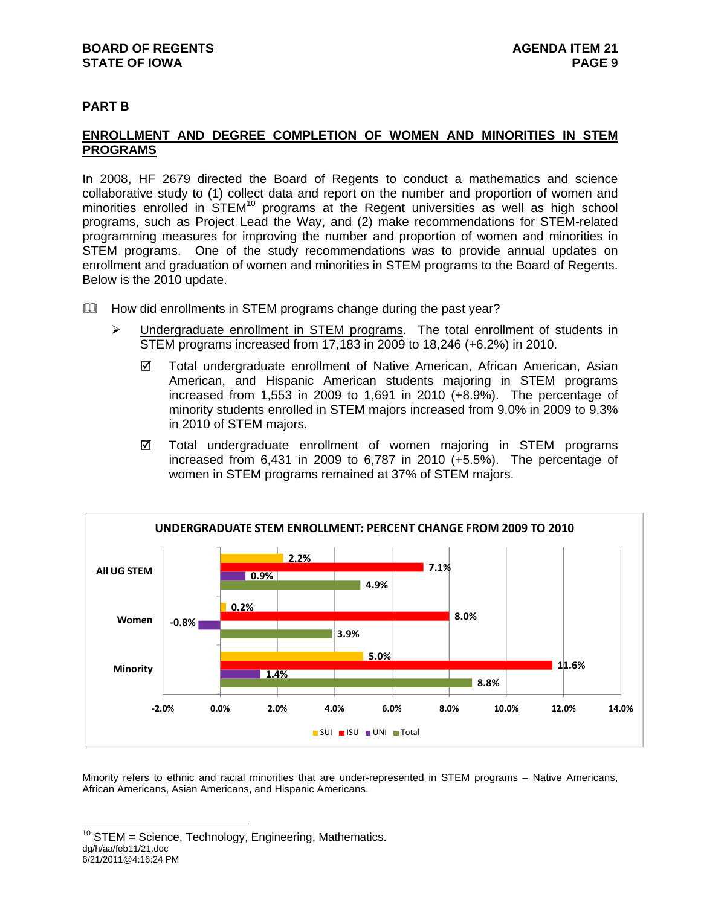# **BOARD OF REGENTS AGENUS AGENDA ITEM 21 STATE OF IOWA** PAGE 9

# **PART B**

# **ENROLLMENT AND DEGREE COMPLETION OF WOMEN AND MINORITIES IN STEM PROGRAMS**

In 2008, HF 2679 directed the Board of Regents to conduct a mathematics and science collaborative study to (1) collect data and report on the number and proportion of women and minorities enrolled in STEM<sup>10</sup> programs at the Regent universities as well as high school programs, such as Project Lead the Way, and (2) make recommendations for STEM-related programming measures for improving the number and proportion of women and minorities in STEM programs. One of the study recommendations was to provide annual updates on enrollment and graduation of women and minorities in STEM programs to the Board of Regents. Below is the 2010 update.

- $\Box$  How did enrollments in STEM programs change during the past year?
	- $\triangleright$  Undergraduate enrollment in STEM programs. The total enrollment of students in STEM programs increased from 17,183 in 2009 to 18,246 (+6.2%) in 2010.
		- Total undergraduate enrollment of Native American, African American, Asian American, and Hispanic American students majoring in STEM programs increased from 1,553 in 2009 to 1,691 in 2010 (+8.9%). The percentage of minority students enrolled in STEM majors increased from 9.0% in 2009 to 9.3% in 2010 of STEM majors.
		- Total undergraduate enrollment of women majoring in STEM programs increased from 6,431 in 2009 to 6,787 in 2010 (+5.5%). The percentage of women in STEM programs remained at 37% of STEM majors.



Minority refers to ethnic and racial minorities that are under-represented in STEM programs – Native Americans, African Americans, Asian Americans, and Hispanic Americans.

dg/h/aa/feb11/21.doc 6/21/2011@4:16:24 PM  $\overline{a}$  $10$  STEM = Science, Technology, Engineering, Mathematics.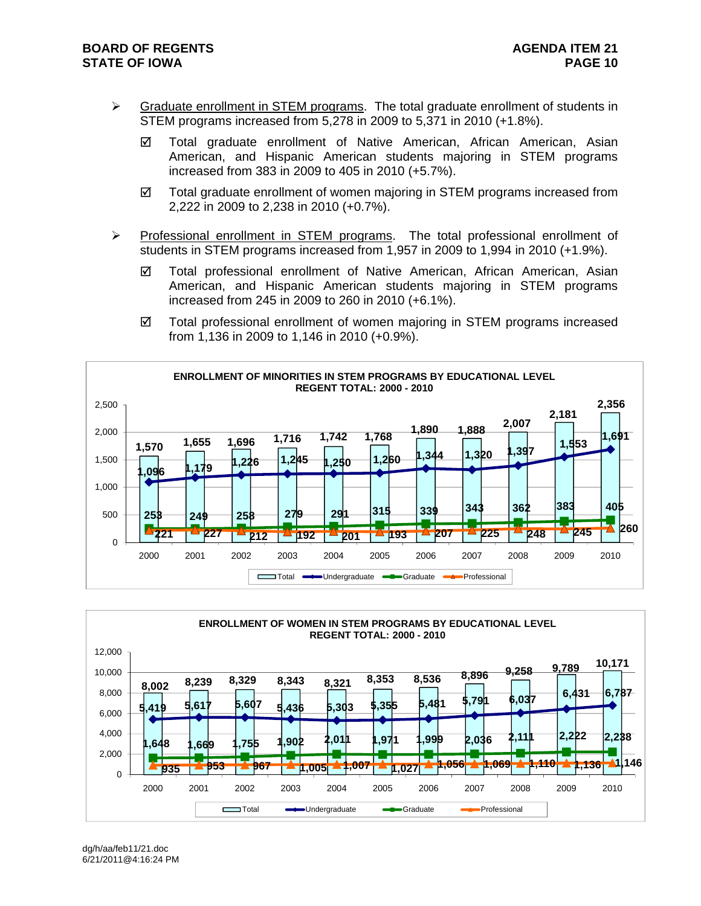- $\triangleright$  Graduate enrollment in STEM programs. The total graduate enrollment of students in STEM programs increased from 5,278 in 2009 to 5,371 in 2010 (+1.8%).
	- Total graduate enrollment of Native American, African American, Asian American, and Hispanic American students majoring in STEM programs increased from 383 in 2009 to 405 in 2010 (+5.7%).
	- $\boxtimes$  Total graduate enrollment of women majoring in STEM programs increased from 2,222 in 2009 to 2,238 in 2010 (+0.7%).
- $\triangleright$  Professional enrollment in STEM programs. The total professional enrollment of students in STEM programs increased from 1,957 in 2009 to 1,994 in 2010 (+1.9%).
	- Total professional enrollment of Native American, African American, Asian American, and Hispanic American students majoring in STEM programs increased from 245 in 2009 to 260 in 2010 (+6.1%).
	- Total professional enrollment of women majoring in STEM programs increased from 1,136 in 2009 to 1,146 in 2010 (+0.9%).



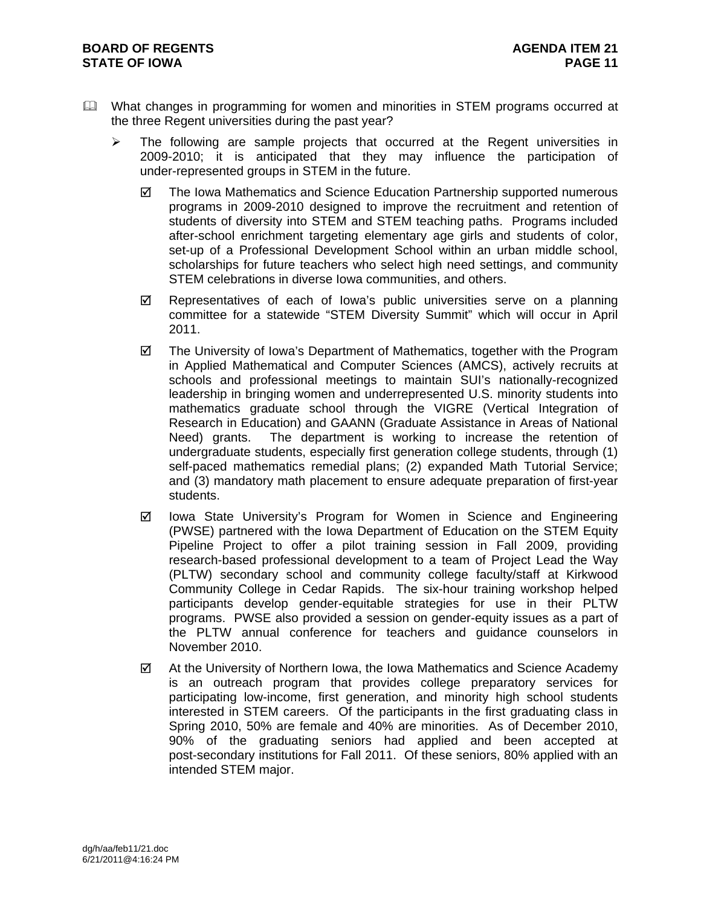- What changes in programming for women and minorities in STEM programs occurred at the three Regent universities during the past year?
	- $\triangleright$  The following are sample projects that occurred at the Regent universities in 2009-2010; it is anticipated that they may influence the participation of under-represented groups in STEM in the future.
		- The Iowa Mathematics and Science Education Partnership supported numerous programs in 2009-2010 designed to improve the recruitment and retention of students of diversity into STEM and STEM teaching paths. Programs included after-school enrichment targeting elementary age girls and students of color, set-up of a Professional Development School within an urban middle school, scholarships for future teachers who select high need settings, and community STEM celebrations in diverse Iowa communities, and others.
		- $\boxtimes$  Representatives of each of Iowa's public universities serve on a planning committee for a statewide "STEM Diversity Summit" which will occur in April 2011.
		- $\boxtimes$  The University of Iowa's Department of Mathematics, together with the Program in Applied Mathematical and Computer Sciences (AMCS), actively recruits at schools and professional meetings to maintain SUI's nationally-recognized leadership in bringing women and underrepresented U.S. minority students into mathematics graduate school through the VIGRE (Vertical Integration of Research in Education) and GAANN (Graduate Assistance in Areas of National Need) grants. The department is working to increase the retention of undergraduate students, especially first generation college students, through (1) self-paced mathematics remedial plans; (2) expanded Math Tutorial Service; and (3) mandatory math placement to ensure adequate preparation of first-year students.
		- $\boxtimes$  Iowa State University's Program for Women in Science and Engineering (PWSE) partnered with the Iowa Department of Education on the STEM Equity Pipeline Project to offer a pilot training session in Fall 2009, providing research-based professional development to a team of Project Lead the Way (PLTW) secondary school and community college faculty/staff at Kirkwood Community College in Cedar Rapids. The six-hour training workshop helped participants develop gender-equitable strategies for use in their PLTW programs. PWSE also provided a session on gender-equity issues as a part of the PLTW annual conference for teachers and guidance counselors in November 2010.
		- $\boxtimes$  At the University of Northern Iowa, the Iowa Mathematics and Science Academy is an outreach program that provides college preparatory services for participating low-income, first generation, and minority high school students interested in STEM careers. Of the participants in the first graduating class in Spring 2010, 50% are female and 40% are minorities. As of December 2010, 90% of the graduating seniors had applied and been accepted at post-secondary institutions for Fall 2011. Of these seniors, 80% applied with an intended STEM major.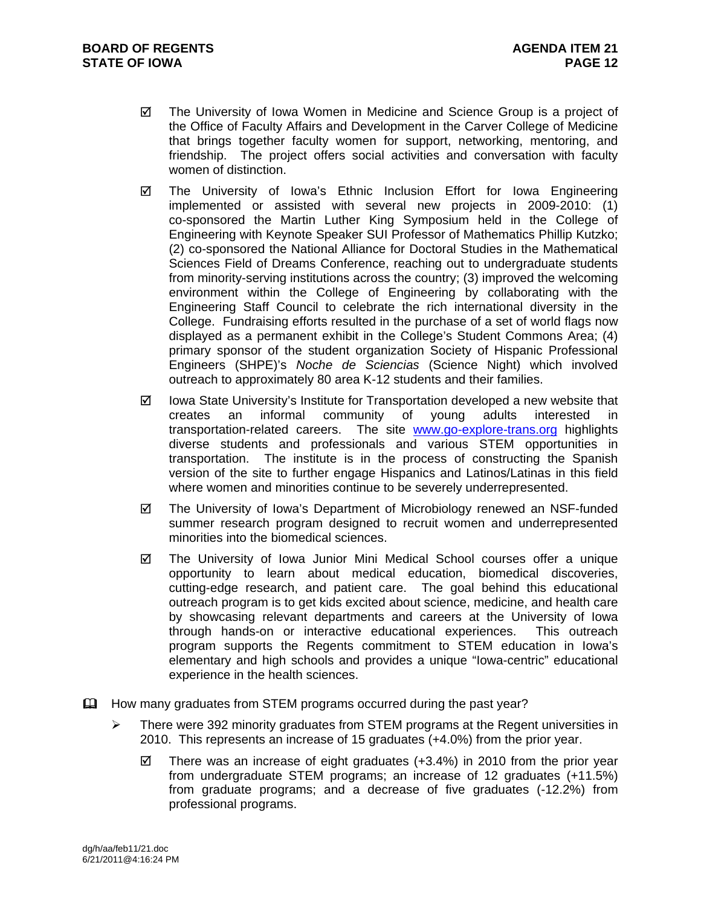- $\boxtimes$  The University of Iowa Women in Medicine and Science Group is a project of the Office of Faculty Affairs and Development in the Carver College of Medicine that brings together faculty women for support, networking, mentoring, and friendship. The project offers social activities and conversation with faculty women of distinction.
- $\boxtimes$  The University of Iowa's Ethnic Inclusion Effort for Iowa Engineering implemented or assisted with several new projects in 2009-2010: (1) co-sponsored the Martin Luther King Symposium held in the College of Engineering with Keynote Speaker SUI Professor of Mathematics Phillip Kutzko; (2) co-sponsored the National Alliance for Doctoral Studies in the Mathematical Sciences Field of Dreams Conference, reaching out to undergraduate students from minority-serving institutions across the country; (3) improved the welcoming environment within the College of Engineering by collaborating with the Engineering Staff Council to celebrate the rich international diversity in the College. Fundraising efforts resulted in the purchase of a set of world flags now displayed as a permanent exhibit in the College's Student Commons Area; (4) primary sponsor of the student organization Society of Hispanic Professional Engineers (SHPE)'s *Noche de Sciencias* (Science Night) which involved outreach to approximately 80 area K-12 students and their families.
- $\boxtimes$  Iowa State University's Institute for Transportation developed a new website that creates an informal community of young adults interested in transportation-related careers. The site www.go-explore-trans.org highlights diverse students and professionals and various STEM opportunities in transportation. The institute is in the process of constructing the Spanish version of the site to further engage Hispanics and Latinos/Latinas in this field where women and minorities continue to be severely underrepresented.
- The University of Iowa's Department of Microbiology renewed an NSF-funded summer research program designed to recruit women and underrepresented minorities into the biomedical sciences.
- The University of Iowa Junior Mini Medical School courses offer a unique opportunity to learn about medical education, biomedical discoveries, cutting-edge research, and patient care. The goal behind this educational outreach program is to get kids excited about science, medicine, and health care by showcasing relevant departments and careers at the University of Iowa through hands-on or interactive educational experiences. This outreach program supports the Regents commitment to STEM education in Iowa's elementary and high schools and provides a unique "Iowa-centric" educational experience in the health sciences.
- $\mathbf{\mathfrak{m}}$  How many graduates from STEM programs occurred during the past year?
	- There were 392 minority graduates from STEM programs at the Regent universities in 2010. This represents an increase of 15 graduates (+4.0%) from the prior year.
		- $\boxtimes$  There was an increase of eight graduates (+3.4%) in 2010 from the prior year from undergraduate STEM programs; an increase of 12 graduates (+11.5%) from graduate programs; and a decrease of five graduates (-12.2%) from professional programs.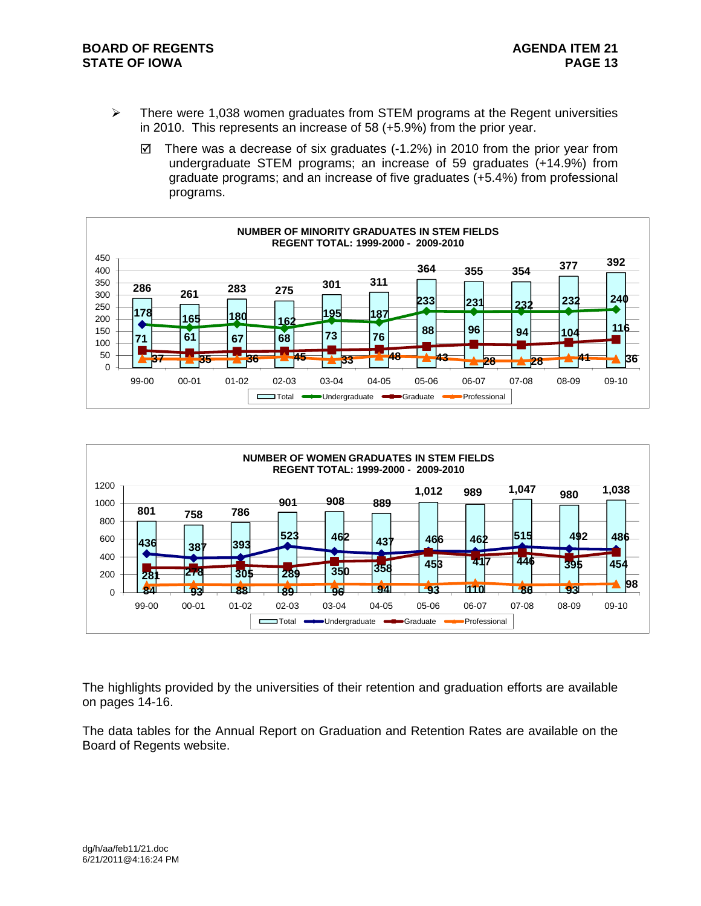## **BOARD OF REGENTS AGENUS AGENDA ITEM 21 STATE OF IOWA** PAGE 13

- $\triangleright$  There were 1,038 women graduates from STEM programs at the Regent universities in 2010. This represents an increase of 58 (+5.9%) from the prior year.
	- $\boxtimes$  There was a decrease of six graduates (-1.2%) in 2010 from the prior year from undergraduate STEM programs; an increase of 59 graduates (+14.9%) from graduate programs; and an increase of five graduates (+5.4%) from professional programs.





The highlights provided by the universities of their retention and graduation efforts are available on pages 14-16.

The data tables for the Annual Report on Graduation and Retention Rates are available on the Board of Regents website.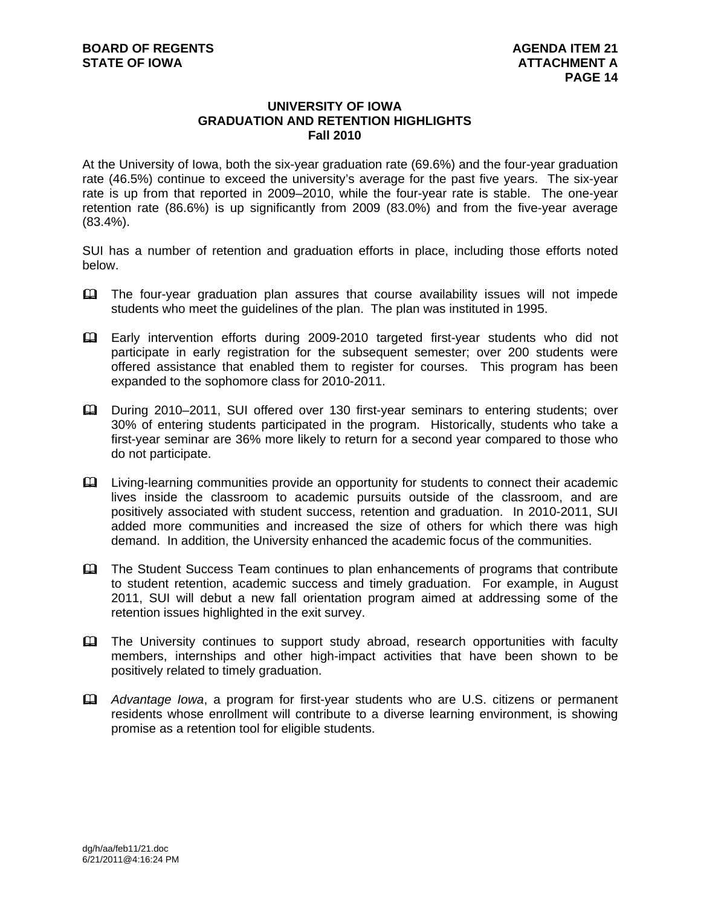#### **UNIVERSITY OF IOWA GRADUATION AND RETENTION HIGHLIGHTS Fall 2010**

At the University of Iowa, both the six-year graduation rate (69.6%) and the four-year graduation rate (46.5%) continue to exceed the university's average for the past five years. The six-year rate is up from that reported in 2009–2010, while the four-year rate is stable. The one-year retention rate (86.6%) is up significantly from 2009 (83.0%) and from the five-year average (83.4%).

SUI has a number of retention and graduation efforts in place, including those efforts noted below.

- The four-year graduation plan assures that course availability issues will not impede students who meet the guidelines of the plan. The plan was instituted in 1995.
- Early intervention efforts during 2009-2010 targeted first-year students who did not participate in early registration for the subsequent semester; over 200 students were offered assistance that enabled them to register for courses. This program has been expanded to the sophomore class for 2010-2011.
- During 2010–2011, SUI offered over 130 first-year seminars to entering students; over 30% of entering students participated in the program. Historically, students who take a first-year seminar are 36% more likely to return for a second year compared to those who do not participate.
- Living-learning communities provide an opportunity for students to connect their academic lives inside the classroom to academic pursuits outside of the classroom, and are positively associated with student success, retention and graduation. In 2010-2011, SUI added more communities and increased the size of others for which there was high demand. In addition, the University enhanced the academic focus of the communities.
- The Student Success Team continues to plan enhancements of programs that contribute to student retention, academic success and timely graduation. For example, in August 2011, SUI will debut a new fall orientation program aimed at addressing some of the retention issues highlighted in the exit survey.
- The University continues to support study abroad, research opportunities with faculty members, internships and other high-impact activities that have been shown to be positively related to timely graduation.
- *Advantage Iowa*, a program for first-year students who are U.S. citizens or permanent residents whose enrollment will contribute to a diverse learning environment, is showing promise as a retention tool for eligible students.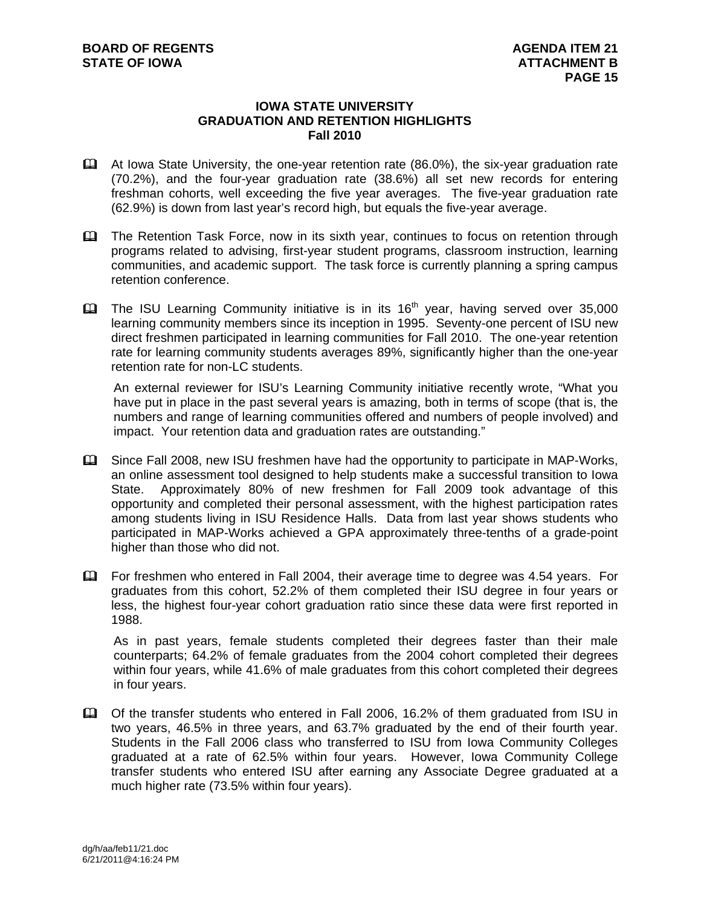#### **IOWA STATE UNIVERSITY GRADUATION AND RETENTION HIGHLIGHTS Fall 2010**

- At Iowa State University, the one-year retention rate (86.0%), the six-year graduation rate (70.2%), and the four-year graduation rate (38.6%) all set new records for entering freshman cohorts, well exceeding the five year averages. The five-year graduation rate (62.9%) is down from last year's record high, but equals the five-year average.
- **Example Retention Task Force, now in its sixth year, continues to focus on retention through** programs related to advising, first-year student programs, classroom instruction, learning communities, and academic support. The task force is currently planning a spring campus retention conference.
- $\Box$  The ISU Learning Community initiative is in its 16<sup>th</sup> year, having served over 35,000 learning community members since its inception in 1995. Seventy-one percent of ISU new direct freshmen participated in learning communities for Fall 2010. The one-year retention rate for learning community students averages 89%, significantly higher than the one-year retention rate for non-LC students.

An external reviewer for ISU's Learning Community initiative recently wrote, "What you have put in place in the past several years is amazing, both in terms of scope (that is, the numbers and range of learning communities offered and numbers of people involved) and impact. Your retention data and graduation rates are outstanding."

- Since Fall 2008, new ISU freshmen have had the opportunity to participate in MAP-Works, an online assessment tool designed to help students make a successful transition to Iowa State. Approximately 80% of new freshmen for Fall 2009 took advantage of this opportunity and completed their personal assessment, with the highest participation rates among students living in ISU Residence Halls. Data from last year shows students who participated in MAP-Works achieved a GPA approximately three-tenths of a grade-point higher than those who did not.
- For freshmen who entered in Fall 2004, their average time to degree was 4.54 years. For graduates from this cohort, 52.2% of them completed their ISU degree in four years or less, the highest four-year cohort graduation ratio since these data were first reported in 1988.

As in past years, female students completed their degrees faster than their male counterparts; 64.2% of female graduates from the 2004 cohort completed their degrees within four years, while 41.6% of male graduates from this cohort completed their degrees in four years.

 Of the transfer students who entered in Fall 2006, 16.2% of them graduated from ISU in two years, 46.5% in three years, and 63.7% graduated by the end of their fourth year. Students in the Fall 2006 class who transferred to ISU from Iowa Community Colleges graduated at a rate of 62.5% within four years. However, Iowa Community College transfer students who entered ISU after earning any Associate Degree graduated at a much higher rate (73.5% within four years).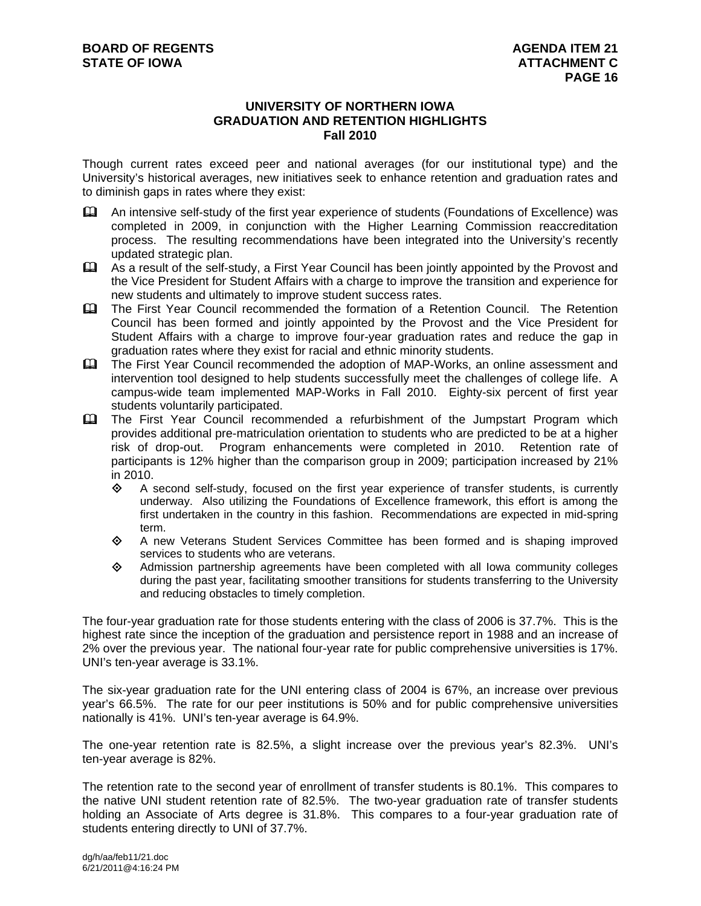#### **UNIVERSITY OF NORTHERN IOWA GRADUATION AND RETENTION HIGHLIGHTS Fall 2010**

Though current rates exceed peer and national averages (for our institutional type) and the University's historical averages, new initiatives seek to enhance retention and graduation rates and to diminish gaps in rates where they exist:

- An intensive self-study of the first year experience of students (Foundations of Excellence) was completed in 2009, in conjunction with the Higher Learning Commission reaccreditation process. The resulting recommendations have been integrated into the University's recently updated strategic plan.
- As a result of the self-study, a First Year Council has been jointly appointed by the Provost and the Vice President for Student Affairs with a charge to improve the transition and experience for new students and ultimately to improve student success rates.
- The First Year Council recommended the formation of a Retention Council. The Retention Council has been formed and jointly appointed by the Provost and the Vice President for Student Affairs with a charge to improve four-year graduation rates and reduce the gap in graduation rates where they exist for racial and ethnic minority students.
- The First Year Council recommended the adoption of MAP-Works, an online assessment and intervention tool designed to help students successfully meet the challenges of college life. A campus-wide team implemented MAP-Works in Fall 2010. Eighty-six percent of first year students voluntarily participated.
- The First Year Council recommended a refurbishment of the Jumpstart Program which provides additional pre-matriculation orientation to students who are predicted to be at a higher risk of drop-out. Program enhancements were completed in 2010. Retention rate of participants is 12% higher than the comparison group in 2009; participation increased by 21% in 2010.
	- $\diamond$  A second self-study, focused on the first year experience of transfer students, is currently underway. Also utilizing the Foundations of Excellence framework, this effort is among the first undertaken in the country in this fashion. Recommendations are expected in mid-spring term.
	- A new Veterans Student Services Committee has been formed and is shaping improved services to students who are veterans.
	- $\Diamond$  Admission partnership agreements have been completed with all lowa community colleges during the past year, facilitating smoother transitions for students transferring to the University and reducing obstacles to timely completion.

The four-year graduation rate for those students entering with the class of 2006 is 37.7%. This is the highest rate since the inception of the graduation and persistence report in 1988 and an increase of 2% over the previous year. The national four-year rate for public comprehensive universities is 17%. UNI's ten-year average is 33.1%.

The six-year graduation rate for the UNI entering class of 2004 is 67%, an increase over previous year's 66.5%. The rate for our peer institutions is 50% and for public comprehensive universities nationally is 41%. UNI's ten-year average is 64.9%.

The one-year retention rate is 82.5%, a slight increase over the previous year's 82.3%. UNI's ten-year average is 82%.

The retention rate to the second year of enrollment of transfer students is 80.1%. This compares to the native UNI student retention rate of 82.5%. The two-year graduation rate of transfer students holding an Associate of Arts degree is 31.8%. This compares to a four-year graduation rate of students entering directly to UNI of 37.7%.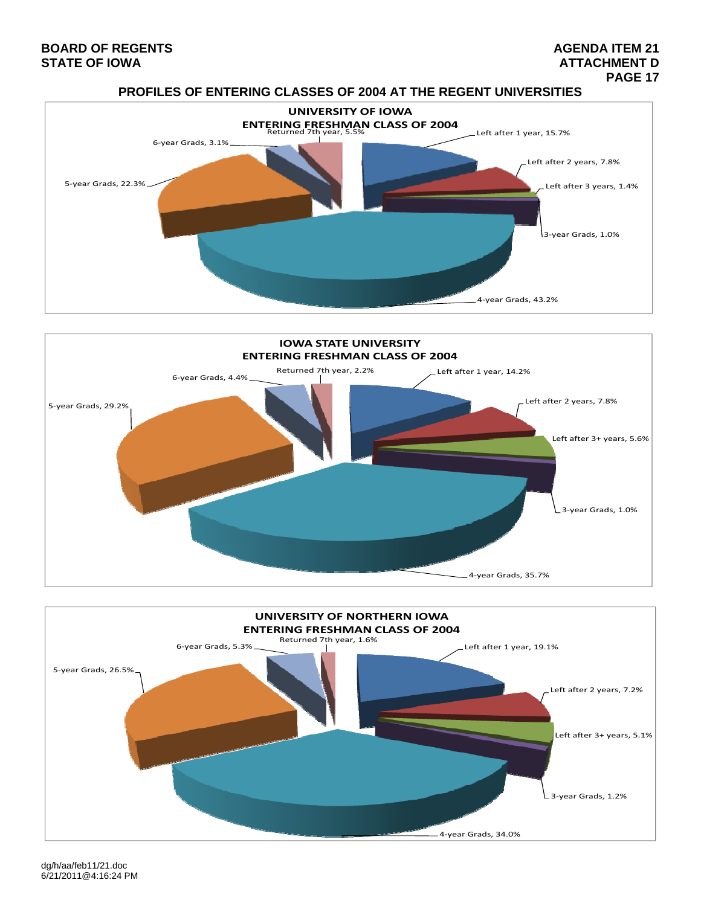# **BOARD OF REGENTS AGENER AGENER AGENER AGENER AGENER AGENER AGENER AGENER AGENER AGENER AGENER AGENER AGENER AGEN**

# **STATE OF IOWA** ATTACHMENT D<br>PAGE 17  **PAGE 17**









dg/h/aa/feb11/21.doc 6/21/2011@4:16:24 PM